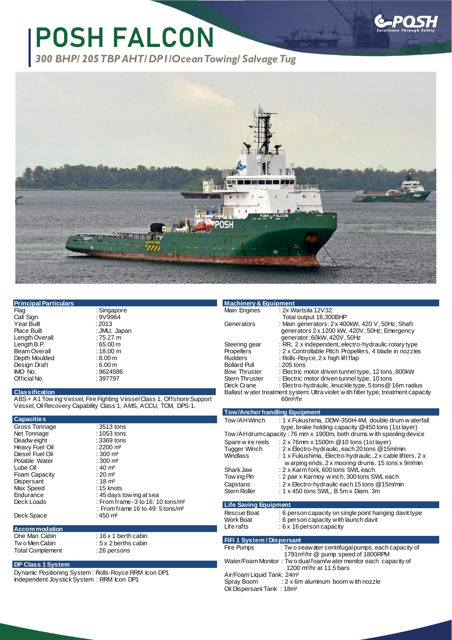# **POSH FALCON**

*300 BHP/ 205TBPAHT/DP1/OceanTowing/ Salvage Tug*



| <b>Principal Particulars</b> |  |  |
|------------------------------|--|--|
|                              |  |  |
|                              |  |  |
|                              |  |  |

Call Sign : 9V9964 Year Built : 2013<br>Place Built : 2013 Length Overall : 75.27 m<br>
Length B.P. : 65.00 m Length B.P. <br>
Beam Overall : 18.00 m Beam Overall : 18.00 m<br>Depth Moulded : 8.00 m Depth Moulded : 8.00 m<br>Design Draft : 6.00 m Design Draft<br>IMO No. Official No.

: Singapore<br>: 9V9964 : JMU, Japan<br>: 75.27 m  $: 9624586$ <br> $: 397797$ 

#### **Classification**

ABS + A1 Tow ing Vessel, Fire Fighting Vessel Class 1, Offshore Support Vessel, OilRecovery Capability Class 1, AMS, ACCU, TCM, DPS-1.

| <b>Capacities</b>    |                                                 |
|----------------------|-------------------------------------------------|
| Gross Tonnage        | $:3513$ tons                                    |
| Net Tonnage          | $:1053$ tons                                    |
| Deadw eight          | :3369 tons                                      |
| Heavy Fuel Oil       | : 2200 m <sup>3</sup>                           |
| Diesel Fuel Oil      | : 300 $m3$                                      |
| Potable Water        | : 300 m <sup>3</sup>                            |
| Lube Oil             | : 40 m <sup>3</sup>                             |
| Foam Capacity        | : 20 $m3$                                       |
| Dispersant           | : 18 $m3$                                       |
| Max Speed            | $: 15$ knots                                    |
| Endurance            | : 45 days tow ing at sea                        |
| Deck Loads           | : From frame $-3$ to 16: 10 tons/m <sup>2</sup> |
|                      | : From frame 16 to 49: 5 tons/m <sup>2</sup>    |
| Deck Space           | : 450 m <sup>2</sup>                            |
|                      |                                                 |
| <b>Accommodation</b> |                                                 |
| One Man Cabin        | $: 16 \times 1$ berth cabin                     |

Total Complement

Tw o Men Cabin : 5 x 2 berths cabin<br>Total Complement : 26 persons

#### **DP Class 1 System**

Dynamic Positioning System : Rolls-Royce RRM Icon DP1 Independent Joystick System : RRM Icon DP1

| <b>Machinery &amp; Equipment</b> |                                                                                   |
|----------------------------------|-----------------------------------------------------------------------------------|
| Main Engines                     | : 2x Wartsila 12V32                                                               |
|                                  | Total output 16,300BHP                                                            |
| Generators                       | : Main generators: 2 x 400kW, 420 V, 50Hz; Shaft                                  |
|                                  | generators 2 x 1200 kW, 420V, 50Hz; Emergency                                     |
|                                  | generator: 60kW, 420V, 50Hz                                                       |
| Steering gear                    | : RR, 2 x independent, electro-hydraulic rotary type                              |
|                                  | : 2 x Controllable Pitch Propellers, 4 blade in nozzles                           |
| <b>Rudders</b>                   | : Rolls-Royce, 2 x high lift flap                                                 |
| <b>Bollard Pull</b>              | $:205$ tons                                                                       |
| <b>Bow Thruster</b>              | : Electric motor driven tunnel type, 12 tons, 800kW                               |
| <b>Stern Thruster</b>            | : Electric motor driven tunnel type, 10 tons                                      |
| Deck Crane                       | : Electro-hydraulic, knuckle type, 5 tons @ 16m radius                            |
|                                  | Ballast water treatment system: Ultra violet with filter type, treatment capacity |
|                                  | 60 <sup>m</sup> /hr                                                               |
|                                  | Propellers                                                                        |

### **Tow/Anchor handling Equipment**

|  | Tow/AHWinch                  | : 1 x Fukushima, DDW-350H-4M, double drum w aterfall<br>type, brake holding capacity @450 tons (1st layer) |  |
|--|------------------------------|------------------------------------------------------------------------------------------------------------|--|
|  |                              | Tow/AH drum capacity: 76 mm x 1900m, both drums with spooling device                                       |  |
|  | Spare wire reels             | : 2 x 76mm x 1500m @ 10 tons (1st layer)                                                                   |  |
|  | <b>Tugger Winch</b>          | : 2 x Electro-hydraulic, each 20 tons @15m/min                                                             |  |
|  | Windlass                     | : 1 x Fukushima, Electro-hydraulic, 2 x cable lifters, 2 x                                                 |  |
|  |                              | w arping ends, 2 x mooring drums. 15 tons x 9m/min                                                         |  |
|  | Shark Jaw                    | : 2 x Karm fork, 600 tons SWL each                                                                         |  |
|  | Tow ing Pin                  | : 2 pair x Karmoy w inch, 300 tons SWL each                                                                |  |
|  | Capstans                     | : 2 x Electro-hydraulic each 15 tons @15m/min                                                              |  |
|  | Stern Roller                 | : $1 \times 450$ tons SWL, B $5m \times$ Diam. 3m                                                          |  |
|  |                              |                                                                                                            |  |
|  | <b>Life Saving Equipment</b> |                                                                                                            |  |
|  | Rescue Boat                  | . 6 nerson canacity on single point hanging day it type                                                    |  |

| FiFi 1 System / Dispersant                                                                                                                                             |  |  |
|------------------------------------------------------------------------------------------------------------------------------------------------------------------------|--|--|
| : 6 person capacity on single point hanging davit type<br>Rescue Boat<br>: 6 person capacity with launch davit<br>Work Boat<br>Life rafts<br>$: 6x$ 16 person capacity |  |  |
|                                                                                                                                                                        |  |  |

| 111 1 9736.117 DISDC BAIR                                         |  |  |
|-------------------------------------------------------------------|--|--|
| : Two seawater centrifugal pumps, each capacity of                |  |  |
| 1791 m <sup>3</sup> /hr @ pump speed of 1800 RPM                  |  |  |
| Water/Foam Monitor: Two dual foam/w ater monitor each capacity of |  |  |
| 1200 m <sup>3</sup> /hr at 11.5 bars                              |  |  |
| Air/Foam Liquid Tank: 24m <sup>3</sup>                            |  |  |
| : 2 x 6m aluminum boom w ith nozzle                               |  |  |
| Oil Dispersant Tank: 18m <sup>3</sup>                             |  |  |
|                                                                   |  |  |